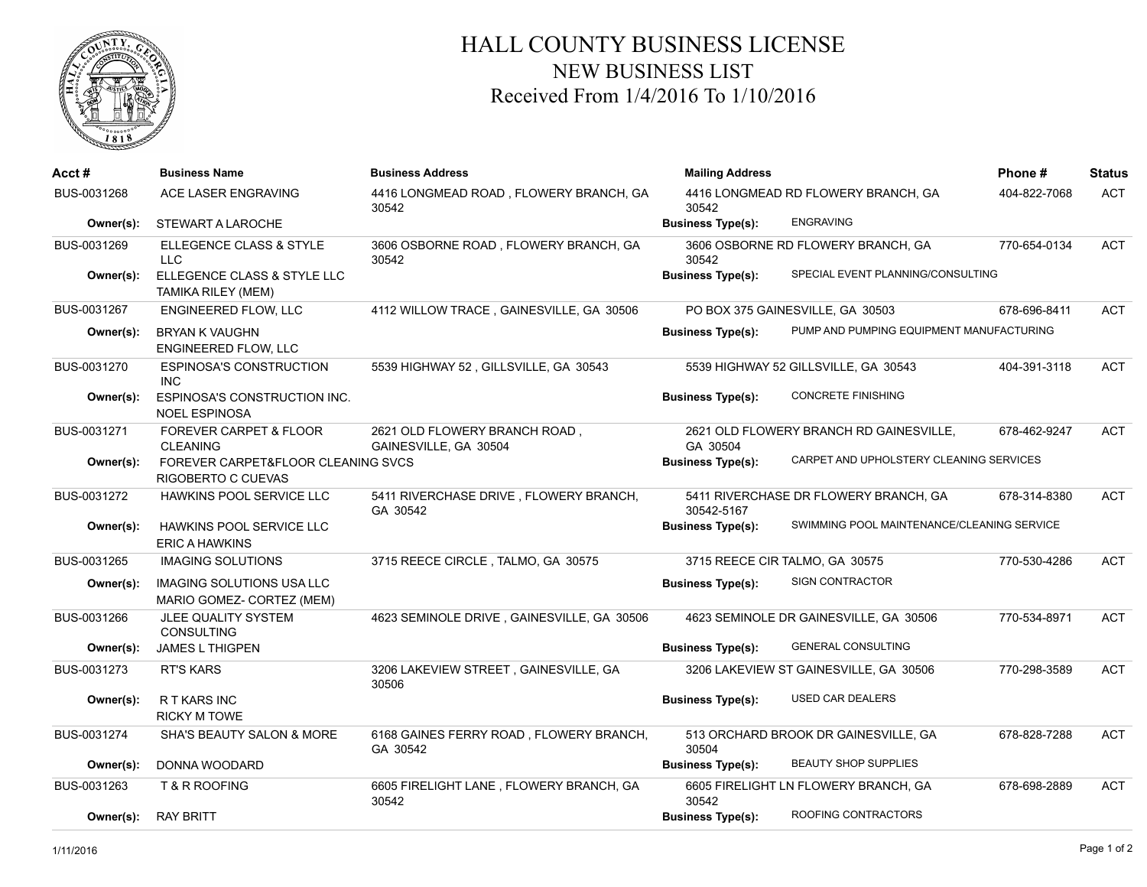

## HALL COUNTY BUSINESS LICENSE NEW BUSINESS LIST Received From 1/4/2016 To 1/10/2016

| Acct #      | <b>Business Name</b>                                        | <b>Business Address</b>                                | <b>Mailing Address</b>                                              |                                            | Phone#       | <b>Status</b> |
|-------------|-------------------------------------------------------------|--------------------------------------------------------|---------------------------------------------------------------------|--------------------------------------------|--------------|---------------|
| BUS-0031268 | ACE LASER ENGRAVING                                         | 4416 LONGMEAD ROAD, FLOWERY BRANCH, GA<br>30542        | 30542                                                               | 4416 LONGMEAD RD FLOWERY BRANCH, GA        | 404-822-7068 | <b>ACT</b>    |
| Owner(s):   | <b>STEWART A LAROCHE</b>                                    |                                                        | <b>Business Type(s):</b>                                            | <b>ENGRAVING</b>                           |              |               |
| BUS-0031269 | ELLEGENCE CLASS & STYLE<br><b>LLC</b>                       | 3606 OSBORNE ROAD, FLOWERY BRANCH, GA<br>30542         | 30542                                                               | 3606 OSBORNE RD FLOWERY BRANCH, GA         | 770-654-0134 | <b>ACT</b>    |
| Owner(s):   | ELLEGENCE CLASS & STYLE LLC<br>TAMIKA RILEY (MEM)           |                                                        | <b>Business Type(s):</b>                                            | SPECIAL EVENT PLANNING/CONSULTING          |              |               |
| BUS-0031267 | ENGINEERED FLOW, LLC                                        | 4112 WILLOW TRACE, GAINESVILLE, GA 30506               |                                                                     | PO BOX 375 GAINESVILLE, GA 30503           | 678-696-8411 | <b>ACT</b>    |
| Owner(s):   | <b>BRYAN K VAUGHN</b><br><b>ENGINEERED FLOW, LLC</b>        |                                                        | <b>Business Type(s):</b>                                            | PUMP AND PUMPING EQUIPMENT MANUFACTURING   |              |               |
| BUS-0031270 | <b>ESPINOSA'S CONSTRUCTION</b><br><b>INC</b>                | 5539 HIGHWAY 52, GILLSVILLE, GA 30543                  |                                                                     | 5539 HIGHWAY 52 GILLSVILLE, GA 30543       | 404-391-3118 | <b>ACT</b>    |
| Owner(s):   | <b>ESPINOSA'S CONSTRUCTION INC.</b><br><b>NOEL ESPINOSA</b> |                                                        | <b>Business Type(s):</b>                                            | <b>CONCRETE FINISHING</b>                  |              |               |
| BUS-0031271 | FOREVER CARPET & FLOOR<br><b>CLEANING</b>                   | 2621 OLD FLOWERY BRANCH ROAD,<br>GAINESVILLE, GA 30504 | GA 30504                                                            | 2621 OLD FLOWERY BRANCH RD GAINESVILLE,    | 678-462-9247 | <b>ACT</b>    |
| Owner(s):   | FOREVER CARPET&FLOOR CLEANING SVCS<br>RIGOBERTO C CUEVAS    |                                                        | CARPET AND UPHOLSTERY CLEANING SERVICES<br><b>Business Type(s):</b> |                                            |              |               |
| BUS-0031272 | HAWKINS POOL SERVICE LLC                                    | 5411 RIVERCHASE DRIVE, FLOWERY BRANCH,<br>GA 30542     | 30542-5167                                                          | 5411 RIVERCHASE DR FLOWERY BRANCH, GA      | 678-314-8380 | <b>ACT</b>    |
| Owner(s):   | HAWKINS POOL SERVICE LLC<br><b>ERIC A HAWKINS</b>           |                                                        | <b>Business Type(s):</b>                                            | SWIMMING POOL MAINTENANCE/CLEANING SERVICE |              |               |
| BUS-0031265 | <b>IMAGING SOLUTIONS</b>                                    | 3715 REECE CIRCLE, TALMO, GA 30575                     |                                                                     | 3715 REECE CIR TALMO, GA 30575             | 770-530-4286 | <b>ACT</b>    |
| Owner(s):   | IMAGING SOLUTIONS USA LLC<br>MARIO GOMEZ- CORTEZ (MEM)      |                                                        | <b>Business Type(s):</b>                                            | SIGN CONTRACTOR                            |              |               |
| BUS-0031266 | JLEE QUALITY SYSTEM<br>CONSULTING                           | 4623 SEMINOLE DRIVE, GAINESVILLE, GA 30506             |                                                                     | 4623 SEMINOLE DR GAINESVILLE, GA 30506     | 770-534-8971 | <b>ACT</b>    |
| Owner(s):   | <b>JAMES L THIGPEN</b>                                      |                                                        | <b>Business Type(s):</b>                                            | <b>GENERAL CONSULTING</b>                  |              |               |
| BUS-0031273 | <b>RT'S KARS</b>                                            | 3206 LAKEVIEW STREET, GAINESVILLE, GA<br>30506         |                                                                     | 3206 LAKEVIEW ST GAINESVILLE, GA 30506     | 770-298-3589 | <b>ACT</b>    |
| Owner(s):   | R T KARS INC<br><b>RICKY M TOWE</b>                         |                                                        | <b>Business Type(s):</b>                                            | <b>USED CAR DEALERS</b>                    |              |               |
| BUS-0031274 | SHA'S BEAUTY SALON & MORE                                   | 6168 GAINES FERRY ROAD, FLOWERY BRANCH,<br>GA 30542    | 30504                                                               | 513 ORCHARD BROOK DR GAINESVILLE, GA       | 678-828-7288 | <b>ACT</b>    |
| Owner(s):   | DONNA WOODARD                                               |                                                        | <b>Business Type(s):</b>                                            | <b>BEAUTY SHOP SUPPLIES</b>                |              |               |
| BUS-0031263 | T & R ROOFING                                               | 6605 FIRELIGHT LANE, FLOWERY BRANCH, GA<br>30542       | 30542                                                               | 6605 FIRELIGHT LN FLOWERY BRANCH, GA       | 678-698-2889 | <b>ACT</b>    |
| Owner(s):   | <b>RAY BRITT</b>                                            |                                                        | <b>Business Type(s):</b>                                            | ROOFING CONTRACTORS                        |              |               |